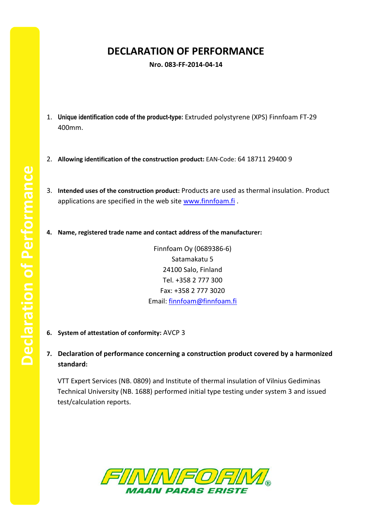## **DECLARATION OF PERFORMANCE**

**Nro. 083-FF-2014-04-14**

- 1. **Unique identification code of the product-type:** Extruded polystyrene (XPS) Finnfoam FT-29 400mm.
- 2. **Allowing identification of the construction product:** EAN-Code: 64 18711 29400 9
- 3. **Intended uses of the construction product:** Products are used as thermal insulation. Product applications are specified in the web site [www.finnfoam.fi](http://www.finnfoam.fi/).
- **4. Name, registered trade name and contact address of the manufacturer:**

Finnfoam Oy (0689386-6) Satamakatu 5 24100 Salo, Finland Tel. +358 2 777 300 Fax: +358 2 777 3020 Email: [finnfoam@finnfoam.fi](mailto:finnfoam@finnfoam.fi)

- **6. System of attestation of conformity:** AVCP 3
- **7. Declaration of performance concerning a construction product covered by a harmonized standard:**

VTT Expert Services (NB. 0809) and Institute of thermal insulation of Vilnius Gediminas Technical University (NB. 1688) performed initial type testing under system 3 and issued test/calculation reports.